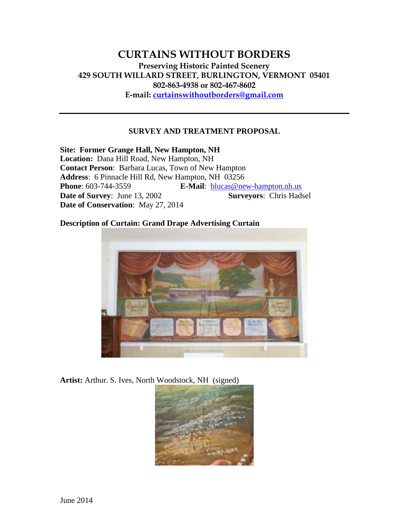# **CURTAINS WITHOUT BORDERS Preserving Historic Painted Scenery 429 SOUTH WILLARD STREET, BURLINGTON, VERMONT 05401 802-863-4938 or 802-467-8602 E-mail: curtainswithoutborders@gmail.com**

### **SURVEY AND TREATMENT PROPOSAL**

**Site: Former Grange Hall, New Hampton, NH Location:** Dana Hill Road, New Hampton, NH **Contact Person**: Barbara Lucas, Town of New Hampton **Address**: 6 Pinnacle Hill Rd, New Hampton, NH 03256 **Phone**: 603-744-3559 **E-Mail**: blucas@new-hampton.nh.us **Date of Survey:** June 13, 2002 **Surveyors:** Chris Hadsel **Date of Conservation**: May 27, 2014

**Description of Curtain: Grand Drape Advertising Curtain**



**Artist:** Arthur. S. Ives, North Woodstock, NH (signed)

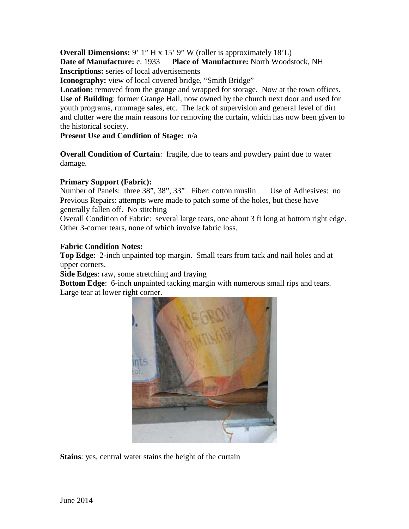**Overall Dimensions:** 9' 1" H x 15' 9" W (roller is approximately 18'L) **Date of Manufacture:** c. 1933 **Place of Manufacture:** North Woodstock, NH **Inscriptions:** series of local advertisements

**Iconography:** view of local covered bridge, "Smith Bridge"

**Location:** removed from the grange and wrapped for storage. Now at the town offices. **Use of Building**: former Grange Hall, now owned by the church next door and used for youth programs, rummage sales, etc. The lack of supervision and general level of dirt and clutter were the main reasons for removing the curtain, which has now been given to the historical society.

**Present Use and Condition of Stage:** n/a

**Overall Condition of Curtain**: fragile, due to tears and powdery paint due to water damage.

# **Primary Support (Fabric):**

Number of Panels: three 38", 38", 33" Fiber: cotton muslin Use of Adhesives: no Previous Repairs: attempts were made to patch some of the holes, but these have generally fallen off. No stitching

Overall Condition of Fabric: several large tears, one about 3 ft long at bottom right edge. Other 3-corner tears, none of which involve fabric loss.

# **Fabric Condition Notes:**

**Top Edge**: 2-inch unpainted top margin. Small tears from tack and nail holes and at upper corners.

**Side Edges**: raw, some stretching and fraying

**Bottom Edge**: 6-inch unpainted tacking margin with numerous small rips and tears. Large tear at lower right corner.



**Stains**: yes, central water stains the height of the curtain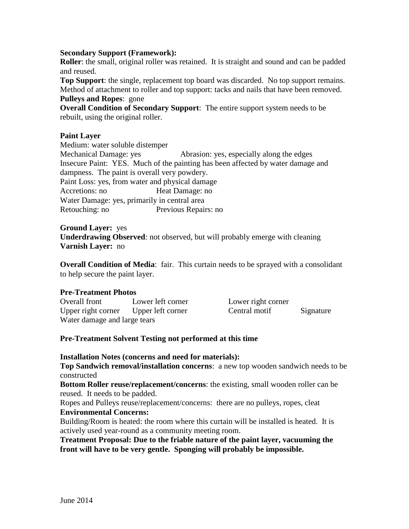### **Secondary Support (Framework):**

**Roller:** the small, original roller was retained. It is straight and sound and can be padded and reused.

**Top Support**: the single, replacement top board was discarded. No top support remains. Method of attachment to roller and top support: tacks and nails that have been removed. **Pulleys and Ropes**: gone

**Overall Condition of Secondary Support**: The entire support system needs to be rebuilt, using the original roller.

#### **Paint Layer**

Medium: water soluble distemper Mechanical Damage: yes Abrasion: yes, especially along the edges Insecure Paint: YES. Much of the painting has been affected by water damage and dampness. The paint is overall very powdery. Paint Loss: yes, from water and physical damage Accretions: no **Heat Damage: no** Water Damage: yes, primarily in central area Retouching: no Previous Repairs: no

#### **Ground Layer:** yes

**Underdrawing Observed**: not observed, but will probably emerge with cleaning **Varnish Layer:** no

**Overall Condition of Media**: fair. This curtain needs to be sprayed with a consolidant to help secure the paint layer.

#### **Pre-Treatment Photos**

| Overall front                        | Lower left corner | Lower right corner |           |
|--------------------------------------|-------------------|--------------------|-----------|
| Upper right corner Upper left corner |                   | Central motif      | Signature |
| Water damage and large tears         |                   |                    |           |

### **Pre-Treatment Solvent Testing not performed at this time**

#### **Installation Notes (concerns and need for materials):**

**Top Sandwich removal/installation concerns**: a new top wooden sandwich needs to be constructed

**Bottom Roller reuse/replacement/concerns**: the existing, small wooden roller can be reused. It needs to be padded.

Ropes and Pulleys reuse/replacement/concerns: there are no pulleys, ropes, cleat **Environmental Concerns:**

Building/Room is heated: the room where this curtain will be installed is heated. It is actively used year-round as a community meeting room.

**Treatment Proposal: Due to the friable nature of the paint layer, vacuuming the front will have to be very gentle. Sponging will probably be impossible.**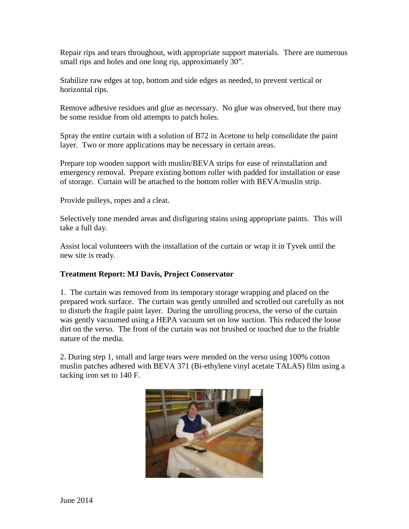Repair rips and tears throughout, with appropriate support materials. There are numerous small rips and holes and one long rip, approximately 30".

Stabilize raw edges at top, bottom and side edges as needed, to prevent vertical or horizontal rips.

Remove adhesive residues and glue as necessary. No glue was observed, but there may be some residue from old attempts to patch holes.

Spray the entire curtain with a solution of B72 in Acetone to help consolidate the paint layer. Two or more applications may be necessary in certain areas.

Prepare top wooden support with muslin/BEVA strips for ease of reinstallation and emergency removal. Prepare existing bottom roller with padded for installation or ease of storage. Curtain will be attached to the bottom roller with BEVA/muslin strip.

Provide pulleys, ropes and a cleat.

Selectively tone mended areas and disfiguring stains using appropriate paints. This will take a full day.

Assist local volunteers with the installation of the curtain or wrap it in Tyvek until the new site is ready.

# **Treatment Report: MJ Davis, Project Conservator**

1. The curtain was removed from its temporary storage wrapping and placed on the prepared work surface. The curtain was gently unrolled and scrolled out carefully as not to disturb the fragile paint layer. During the unrolling process, the verso of the curtain was gently vacuumed using a HEPA vacuum set on low suction. This reduced the loose dirt on the verso. The front of the curtain was not brushed or touched due to the friable nature of the media.

2. During step 1, small and large tears were mended on the verso using 100% cotton muslin patches adhered with BEVA 371 (Bi-ethylene vinyl acetate TALAS) film using a tacking iron set to 140 F.